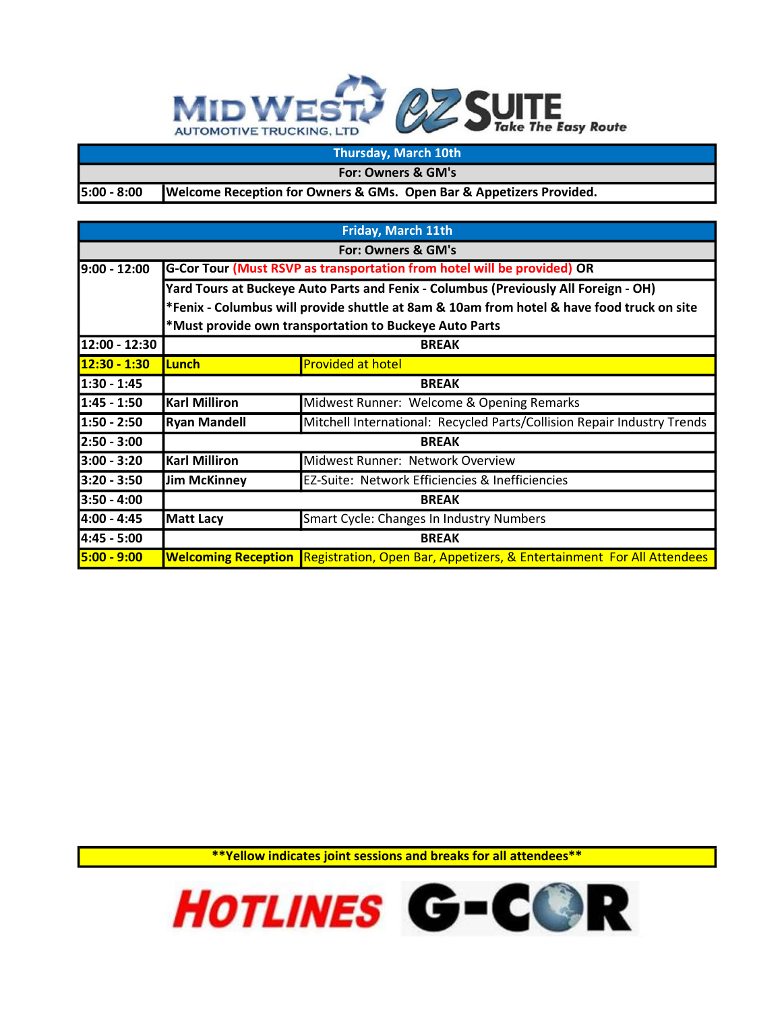## **MIDWEST** *<b>QZ* SUITE **The Easy Route AUTOMOTIVE TRUCKING, LTD**

## Thursday, March 10th

For: Owners & GM's

5:00 - 8:00

Welcome Reception for Owners & GMs. Open Bar & Appetizers Provided.

| Friday, March 11th |                                                                                           |                                                                                                      |  |  |
|--------------------|-------------------------------------------------------------------------------------------|------------------------------------------------------------------------------------------------------|--|--|
| For: Owners & GM's |                                                                                           |                                                                                                      |  |  |
| $9:00 - 12:00$     | G-Cor Tour (Must RSVP as transportation from hotel will be provided) OR                   |                                                                                                      |  |  |
|                    | Yard Tours at Buckeye Auto Parts and Fenix - Columbus (Previously All Foreign - OH)       |                                                                                                      |  |  |
|                    | *Fenix - Columbus will provide shuttle at 8am & 10am from hotel & have food truck on site |                                                                                                      |  |  |
|                    | *Must provide own transportation to Buckeye Auto Parts                                    |                                                                                                      |  |  |
| 12:00 - 12:30      | <b>BREAK</b>                                                                              |                                                                                                      |  |  |
| 12:30 - 1:30       | Lunch                                                                                     | <b>Provided at hotel</b>                                                                             |  |  |
| $1:30 - 1:45$      | <b>BREAK</b>                                                                              |                                                                                                      |  |  |
| 1:45 - 1:50        | <b>Karl Milliron</b>                                                                      | Midwest Runner: Welcome & Opening Remarks                                                            |  |  |
| 1:50 - 2:50        | <b>Ryan Mandell</b>                                                                       | Mitchell International: Recycled Parts/Collision Repair Industry Trends                              |  |  |
| 2:50 - 3:00        | <b>BREAK</b>                                                                              |                                                                                                      |  |  |
| $3:00 - 3:20$      | <b>Karl Milliron</b>                                                                      | Midwest Runner: Network Overview                                                                     |  |  |
| $3:20 - 3:50$      | <b>Jim McKinney</b>                                                                       | EZ-Suite: Network Efficiencies & Inefficiencies                                                      |  |  |
| $3:50 - 4:00$      | <b>BREAK</b>                                                                              |                                                                                                      |  |  |
| 4:00 - 4:45        | <b>Matt Lacy</b>                                                                          | Smart Cycle: Changes In Industry Numbers                                                             |  |  |
| 4:45 - 5:00        | <b>BREAK</b>                                                                              |                                                                                                      |  |  |
| 5:00 - 9:00        |                                                                                           | <b>Welcoming Reception Registration, Open Bar, Appetizers, &amp; Entertainment For All Attendees</b> |  |  |

\*\*Yellow indicates joint sessions and breaks for all attendees\*\*

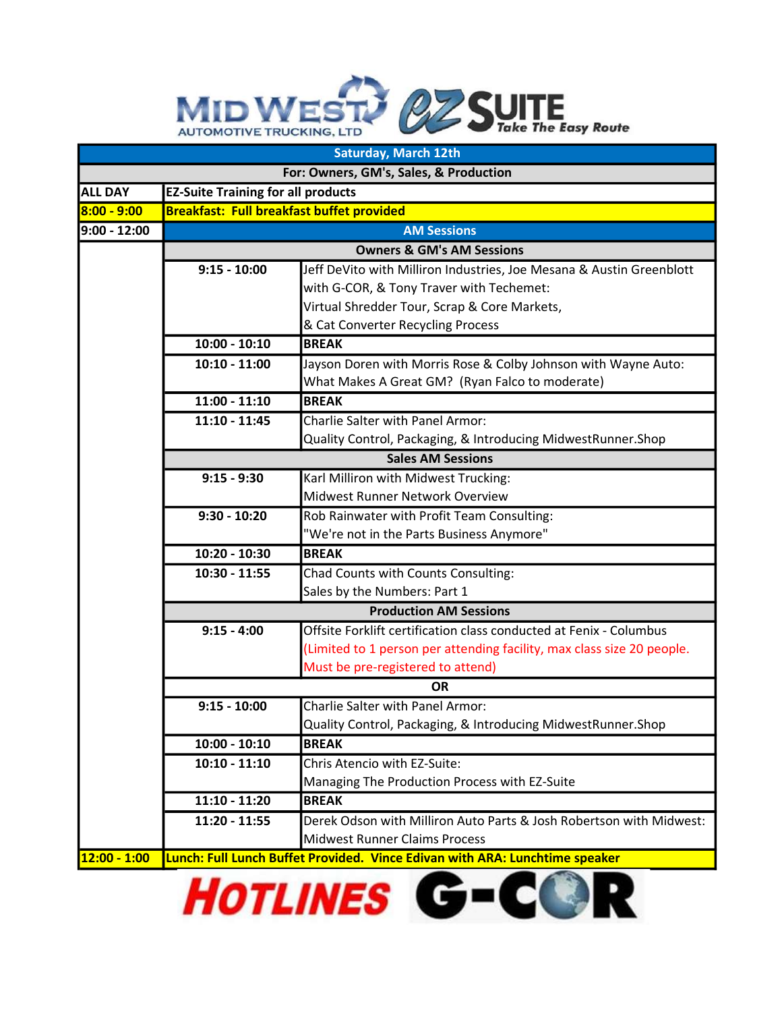## MID WEST? @Z SUITE he Easy Route

| <b>Saturday, March 12th</b>            |                                                  |                                                                             |  |  |
|----------------------------------------|--------------------------------------------------|-----------------------------------------------------------------------------|--|--|
| For: Owners, GM's, Sales, & Production |                                                  |                                                                             |  |  |
| <b>ALL DAY</b>                         | <b>EZ-Suite Training for all products</b>        |                                                                             |  |  |
| $8:00 - 9:00$                          | <b>Breakfast: Full breakfast buffet provided</b> |                                                                             |  |  |
| $9:00 - 12:00$                         | <b>AM Sessions</b>                               |                                                                             |  |  |
|                                        | <b>Owners &amp; GM's AM Sessions</b>             |                                                                             |  |  |
|                                        | $9:15 - 10:00$                                   | Jeff DeVito with Milliron Industries, Joe Mesana & Austin Greenblott        |  |  |
|                                        |                                                  | with G-COR, & Tony Traver with Techemet:                                    |  |  |
|                                        |                                                  | Virtual Shredder Tour, Scrap & Core Markets,                                |  |  |
|                                        |                                                  | & Cat Converter Recycling Process                                           |  |  |
|                                        | $10:00 - 10:10$                                  | <b>BREAK</b>                                                                |  |  |
|                                        | $10:10 - 11:00$                                  | Jayson Doren with Morris Rose & Colby Johnson with Wayne Auto:              |  |  |
|                                        |                                                  | What Makes A Great GM? (Ryan Falco to moderate)                             |  |  |
|                                        | $11:00 - 11:10$                                  | <b>BREAK</b>                                                                |  |  |
|                                        | $11:10 - 11:45$                                  | <b>Charlie Salter with Panel Armor:</b>                                     |  |  |
|                                        |                                                  | Quality Control, Packaging, & Introducing MidwestRunner.Shop                |  |  |
|                                        |                                                  | <b>Sales AM Sessions</b>                                                    |  |  |
|                                        | $9:15 - 9:30$                                    | Karl Milliron with Midwest Trucking:                                        |  |  |
|                                        |                                                  | Midwest Runner Network Overview                                             |  |  |
|                                        | $9:30 - 10:20$                                   | Rob Rainwater with Profit Team Consulting:                                  |  |  |
|                                        |                                                  | "We're not in the Parts Business Anymore"                                   |  |  |
|                                        | 10:20 - 10:30                                    | <b>BREAK</b>                                                                |  |  |
|                                        | $10:30 - 11:55$                                  | Chad Counts with Counts Consulting:                                         |  |  |
|                                        |                                                  | Sales by the Numbers: Part 1                                                |  |  |
|                                        | <b>Production AM Sessions</b>                    |                                                                             |  |  |
|                                        | $9:15 - 4:00$                                    | Offsite Forklift certification class conducted at Fenix - Columbus          |  |  |
|                                        |                                                  | (Limited to 1 person per attending facility, max class size 20 people.      |  |  |
|                                        |                                                  | Must be pre-registered to attend)                                           |  |  |
|                                        | <b>OR</b>                                        |                                                                             |  |  |
|                                        | $9:15 - 10:00$                                   | Charlie Salter with Panel Armor:                                            |  |  |
|                                        |                                                  | Quality Control, Packaging, & Introducing MidwestRunner.Shop                |  |  |
|                                        | $10:00 - 10:10$                                  | <b>BREAK</b>                                                                |  |  |
|                                        | $10:10 - 11:10$                                  | Chris Atencio with EZ-Suite:                                                |  |  |
|                                        |                                                  | Managing The Production Process with EZ-Suite                               |  |  |
|                                        | $11:10 - 11:20$                                  | <b>BREAK</b>                                                                |  |  |
|                                        | $11:20 - 11:55$                                  | Derek Odson with Milliron Auto Parts & Josh Robertson with Midwest:         |  |  |
|                                        |                                                  | <b>Midwest Runner Claims Process</b>                                        |  |  |
| $12:00 - 1:00$                         |                                                  | Lunch: Full Lunch Buffet Provided. Vince Edivan with ARA: Lunchtime speaker |  |  |